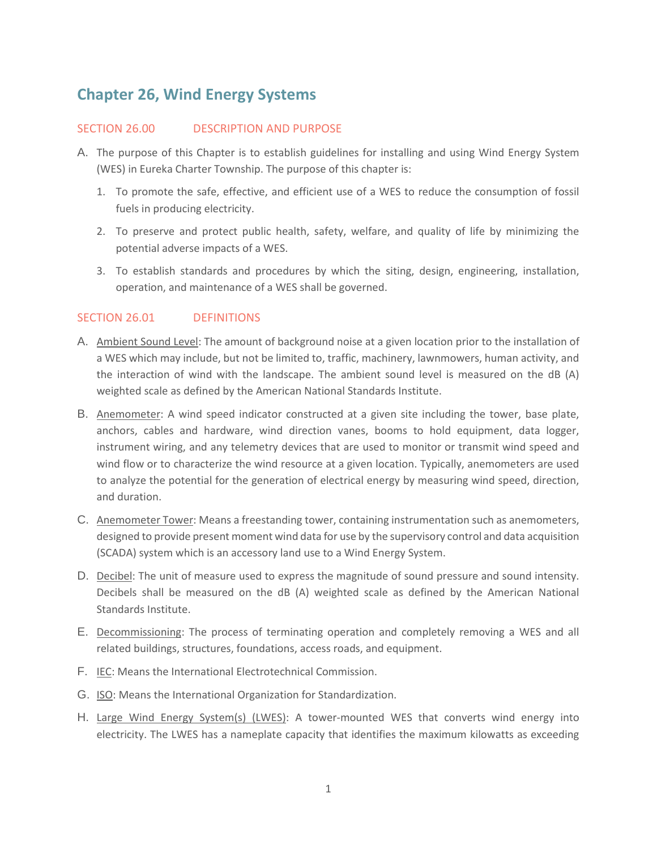# **Chapter 26, Wind Energy Systems**

#### SECTION 26.00 DESCRIPTION AND PURPOSE

- A. The purpose of this Chapter is to establish guidelines for installing and using Wind Energy System (WES) in Eureka Charter Township. The purpose of this chapter is:
	- 1. To promote the safe, effective, and efficient use of a WES to reduce the consumption of fossil fuels in producing electricity.
	- 2. To preserve and protect public health, safety, welfare, and quality of life by minimizing the potential adverse impacts of a WES.
	- 3. To establish standards and procedures by which the siting, design, engineering, installation, operation, and maintenance of a WES shall be governed.

#### SECTION 26.01 DEFINITIONS

- A. Ambient Sound Level: The amount of background noise at a given location prior to the installation of a WES which may include, but not be limited to, traffic, machinery, lawnmowers, human activity, and the interaction of wind with the landscape. The ambient sound level is measured on the dB (A) weighted scale as defined by the American National Standards Institute.
- B. Anemometer: A wind speed indicator constructed at a given site including the tower, base plate, anchors, cables and hardware, wind direction vanes, booms to hold equipment, data logger, instrument wiring, and any telemetry devices that are used to monitor or transmit wind speed and wind flow or to characterize the wind resource at a given location. Typically, anemometers are used to analyze the potential for the generation of electrical energy by measuring wind speed, direction, and duration.
- C. Anemometer Tower: Means a freestanding tower, containing instrumentation such as anemometers, designed to provide present moment wind data for use by the supervisory control and data acquisition (SCADA) system which is an accessory land use to a Wind Energy System.
- D. Decibel: The unit of measure used to express the magnitude of sound pressure and sound intensity. Decibels shall be measured on the dB (A) weighted scale as defined by the American National Standards Institute.
- E. Decommissioning: The process of terminating operation and completely removing a WES and all related buildings, structures, foundations, access roads, and equipment.
- F. IEC: Means the International Electrotechnical Commission.
- G. ISO: Means the International Organization for Standardization.
- H. Large Wind Energy System(s) (LWES): A tower-mounted WES that converts wind energy into electricity. The LWES has a nameplate capacity that identifies the maximum kilowatts as exceeding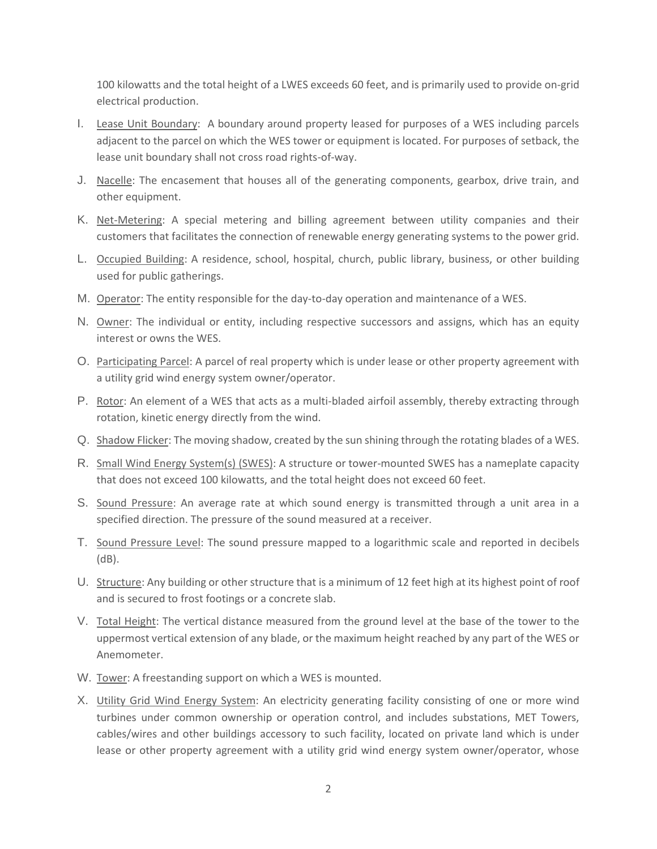100 kilowatts and the total height of a LWES exceeds 60 feet, and is primarily used to provide on-grid electrical production.

- I. Lease Unit Boundary: A boundary around property leased for purposes of a WES including parcels adjacent to the parcel on which the WES tower or equipment is located. For purposes of setback, the lease unit boundary shall not cross road rights-of-way.
- J. Nacelle: The encasement that houses all of the generating components, gearbox, drive train, and other equipment.
- K. Net-Metering: A special metering and billing agreement between utility companies and their customers that facilitates the connection of renewable energy generating systems to the power grid.
- L. Occupied Building: A residence, school, hospital, church, public library, business, or other building used for public gatherings.
- M. **Operator:** The entity responsible for the day-to-day operation and maintenance of a WES.
- N. Owner: The individual or entity, including respective successors and assigns, which has an equity interest or owns the WES.
- O. Participating Parcel: A parcel of real property which is under lease or other property agreement with a utility grid wind energy system owner/operator.
- P. Rotor: An element of a WES that acts as a multi-bladed airfoil assembly, thereby extracting through rotation, kinetic energy directly from the wind.
- Q. Shadow Flicker: The moving shadow, created by the sun shining through the rotating blades of a WES.
- R. Small Wind Energy System(s) (SWES): A structure or tower-mounted SWES has a nameplate capacity that does not exceed 100 kilowatts, and the total height does not exceed 60 feet.
- S. Sound Pressure: An average rate at which sound energy is transmitted through a unit area in a specified direction. The pressure of the sound measured at a receiver.
- T. Sound Pressure Level: The sound pressure mapped to a logarithmic scale and reported in decibels (dB).
- U. Structure: Any building or other structure that is a minimum of 12 feet high at its highest point of roof and is secured to frost footings or a concrete slab.
- V. Total Height: The vertical distance measured from the ground level at the base of the tower to the uppermost vertical extension of any blade, or the maximum height reached by any part of the WES or Anemometer.
- W. Tower: A freestanding support on which a WES is mounted.
- X. Utility Grid Wind Energy System: An electricity generating facility consisting of one or more wind turbines under common ownership or operation control, and includes substations, MET Towers, cables/wires and other buildings accessory to such facility, located on private land which is under lease or other property agreement with a utility grid wind energy system owner/operator, whose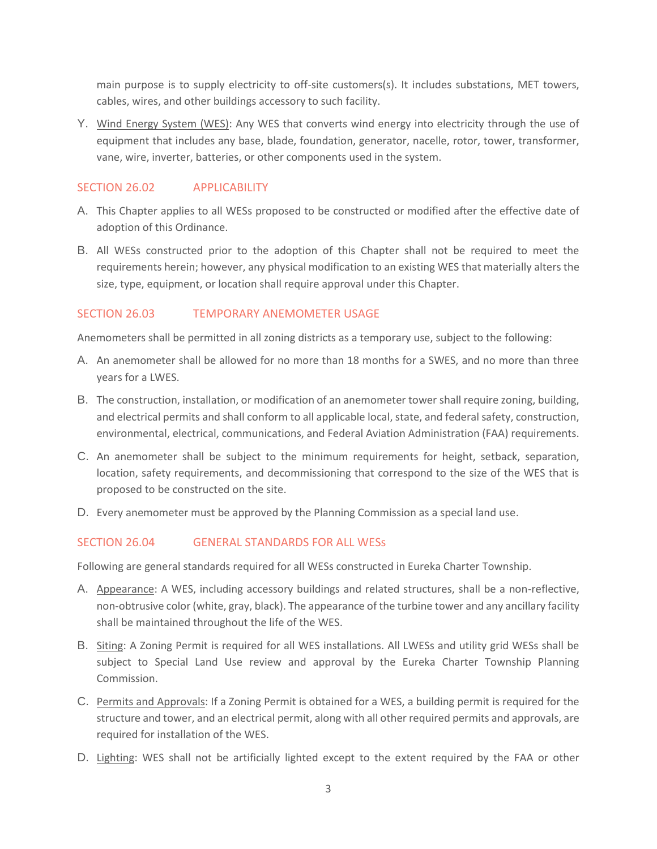main purpose is to supply electricity to off-site customers(s). It includes substations, MET towers, cables, wires, and other buildings accessory to such facility.

Y. Wind Energy System (WES): Any WES that converts wind energy into electricity through the use of equipment that includes any base, blade, foundation, generator, nacelle, rotor, tower, transformer, vane, wire, inverter, batteries, or other components used in the system.

### SECTION 26.02 APPLICABILITY

- A. This Chapter applies to all WESs proposed to be constructed or modified after the effective date of adoption of this Ordinance.
- B. All WESs constructed prior to the adoption of this Chapter shall not be required to meet the requirements herein; however, any physical modification to an existing WES that materially alters the size, type, equipment, or location shall require approval under this Chapter.

### SECTION 26.03 TEMPORARY ANEMOMETER USAGE

Anemometers shall be permitted in all zoning districts as a temporary use, subject to the following:

- A. An anemometer shall be allowed for no more than 18 months for a SWES, and no more than three years for a LWES.
- B. The construction, installation, or modification of an anemometer tower shall require zoning, building, and electrical permits and shall conform to all applicable local, state, and federal safety, construction, environmental, electrical, communications, and Federal Aviation Administration (FAA) requirements.
- C. An anemometer shall be subject to the minimum requirements for height, setback, separation, location, safety requirements, and decommissioning that correspond to the size of the WES that is proposed to be constructed on the site.
- D. Every anemometer must be approved by the Planning Commission as a special land use.

### SECTION 26.04 GENERAL STANDARDS FOR ALL WESs

Following are general standards required for all WESs constructed in Eureka Charter Township.

- A. Appearance: A WES, including accessory buildings and related structures, shall be a non-reflective, non-obtrusive color (white, gray, black). The appearance of the turbine tower and any ancillary facility shall be maintained throughout the life of the WES.
- B. Siting: A Zoning Permit is required for all WES installations. All LWESs and utility grid WESs shall be subject to Special Land Use review and approval by the Eureka Charter Township Planning Commission.
- C. Permits and Approvals: If a Zoning Permit is obtained for a WES, a building permit is required for the structure and tower, and an electrical permit, along with all other required permits and approvals, are required for installation of the WES.
- D. Lighting: WES shall not be artificially lighted except to the extent required by the FAA or other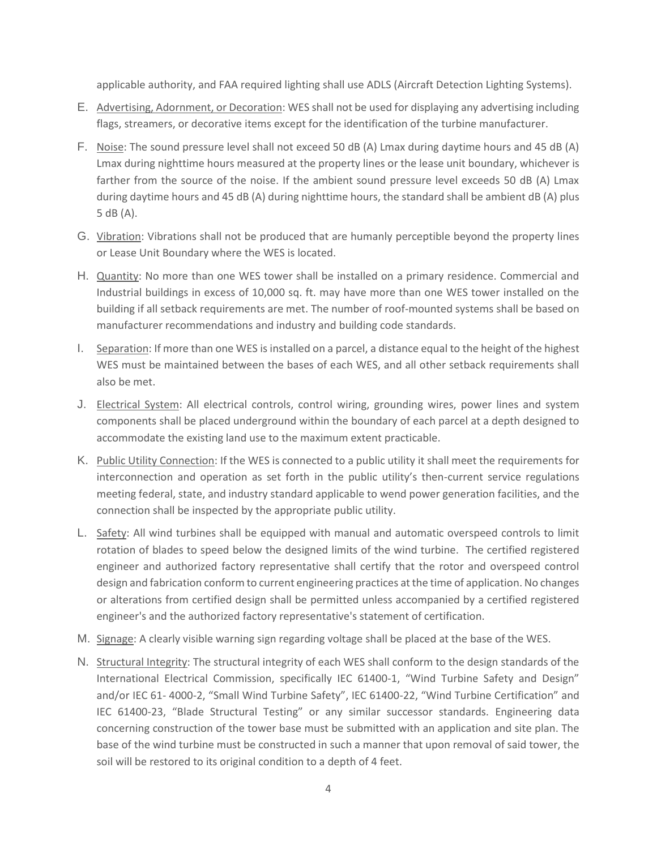applicable authority, and FAA required lighting shall use ADLS (Aircraft Detection Lighting Systems).

- E. Advertising, Adornment, or Decoration: WES shall not be used for displaying any advertising including flags, streamers, or decorative items except for the identification of the turbine manufacturer.
- F. Noise: The sound pressure level shall not exceed 50 dB (A) Lmax during daytime hours and 45 dB (A) Lmax during nighttime hours measured at the property lines or the lease unit boundary, whichever is farther from the source of the noise. If the ambient sound pressure level exceeds 50 dB (A) Lmax during daytime hours and 45 dB (A) during nighttime hours, the standard shall be ambient dB (A) plus 5 dB (A).
- G. Vibration: Vibrations shall not be produced that are humanly perceptible beyond the property lines or Lease Unit Boundary where the WES is located.
- H. Quantity: No more than one WES tower shall be installed on a primary residence. Commercial and Industrial buildings in excess of 10,000 sq. ft. may have more than one WES tower installed on the building if all setback requirements are met. The number of roof-mounted systems shall be based on manufacturer recommendations and industry and building code standards.
- I. Separation: If more than one WES is installed on a parcel, a distance equal to the height of the highest WES must be maintained between the bases of each WES, and all other setback requirements shall also be met.
- J. Electrical System: All electrical controls, control wiring, grounding wires, power lines and system components shall be placed underground within the boundary of each parcel at a depth designed to accommodate the existing land use to the maximum extent practicable.
- K. Public Utility Connection: If the WES is connected to a public utility it shall meet the requirements for interconnection and operation as set forth in the public utility's then-current service regulations meeting federal, state, and industry standard applicable to wend power generation facilities, and the connection shall be inspected by the appropriate public utility.
- L. Safety: All wind turbines shall be equipped with manual and automatic overspeed controls to limit rotation of blades to speed below the designed limits of the wind turbine. The certified registered engineer and authorized factory representative shall certify that the rotor and overspeed control design and fabrication conform to current engineering practices at the time of application. No changes or alterations from certified design shall be permitted unless accompanied by a certified registered engineer's and the authorized factory representative's statement of certification.
- M. Signage: A clearly visible warning sign regarding voltage shall be placed at the base of the WES.
- N. Structural Integrity: The structural integrity of each WES shall conform to the design standards of the International Electrical Commission, specifically IEC 61400-1, "Wind Turbine Safety and Design" and/or IEC 61- 4000-2, "Small Wind Turbine Safety", IEC 61400-22, "Wind Turbine Certification" and IEC 61400-23, "Blade Structural Testing" or any similar successor standards. Engineering data concerning construction of the tower base must be submitted with an application and site plan. The base of the wind turbine must be constructed in such a manner that upon removal of said tower, the soil will be restored to its original condition to a depth of 4 feet.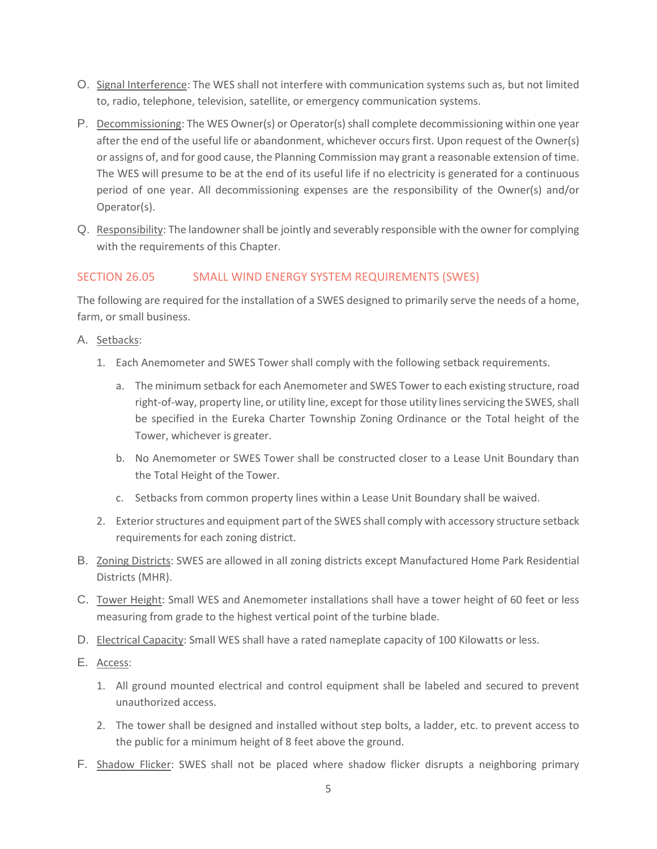- O. Signal Interference: The WES shall not interfere with communication systems such as, but not limited to, radio, telephone, television, satellite, or emergency communication systems.
- P. Decommissioning: The WES Owner(s) or Operator(s) shall complete decommissioning within one year after the end of the useful life or abandonment, whichever occurs first. Upon request of the Owner(s) or assigns of, and for good cause, the Planning Commission may grant a reasonable extension of time. The WES will presume to be at the end of its useful life if no electricity is generated for a continuous period of one year. All decommissioning expenses are the responsibility of the Owner(s) and/or Operator(s).
- Q. Responsibility: The landowner shall be jointly and severably responsible with the owner for complying with the requirements of this Chapter.

# SECTION 26.05 SMALL WIND ENERGY SYSTEM REQUIREMENTS (SWES)

The following are required for the installation of a SWES designed to primarily serve the needs of a home, farm, or small business.

### A. Setbacks:

- 1. Each Anemometer and SWES Tower shall comply with the following setback requirements.
	- a. The minimum setback for each Anemometer and SWES Tower to each existing structure, road right-of-way, property line, or utility line, except for those utility lines servicing the SWES, shall be specified in the Eureka Charter Township Zoning Ordinance or the Total height of the Tower, whichever is greater.
	- b. No Anemometer or SWES Tower shall be constructed closer to a Lease Unit Boundary than the Total Height of the Tower.
	- c. Setbacks from common property lines within a Lease Unit Boundary shall be waived.
- 2. Exterior structures and equipment part of the SWES shall comply with accessory structure setback requirements for each zoning district.
- B. Zoning Districts: SWES are allowed in all zoning districts except Manufactured Home Park Residential Districts (MHR).
- C. Tower Height: Small WES and Anemometer installations shall have a tower height of 60 feet or less measuring from grade to the highest vertical point of the turbine blade.
- D. Electrical Capacity: Small WES shall have a rated nameplate capacity of 100 Kilowatts or less.
- E. Access:
	- 1. All ground mounted electrical and control equipment shall be labeled and secured to prevent unauthorized access.
	- 2. The tower shall be designed and installed without step bolts, a ladder, etc. to prevent access to the public for a minimum height of 8 feet above the ground.
- F. Shadow Flicker: SWES shall not be placed where shadow flicker disrupts a neighboring primary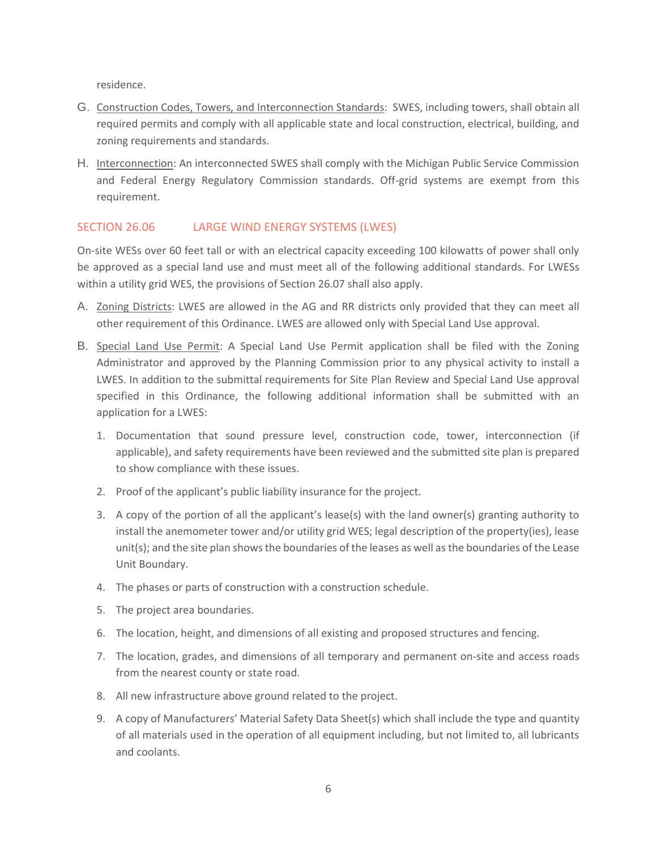residence.

- G. Construction Codes, Towers, and Interconnection Standards: SWES, including towers, shall obtain all required permits and comply with all applicable state and local construction, electrical, building, and zoning requirements and standards.
- H. Interconnection: An interconnected SWES shall comply with the Michigan Public Service Commission and Federal Energy Regulatory Commission standards. Off-grid systems are exempt from this requirement.

## SECTION 26.06 LARGE WIND ENERGY SYSTEMS (LWES)

On-site WESs over 60 feet tall or with an electrical capacity exceeding 100 kilowatts of power shall only be approved as a special land use and must meet all of the following additional standards. For LWESs within a utility grid WES, the provisions of Section 26.07 shall also apply.

- A. Zoning Districts: LWES are allowed in the AG and RR districts only provided that they can meet all other requirement of this Ordinance. LWES are allowed only with Special Land Use approval.
- B. Special Land Use Permit: A Special Land Use Permit application shall be filed with the Zoning Administrator and approved by the Planning Commission prior to any physical activity to install a LWES. In addition to the submittal requirements for Site Plan Review and Special Land Use approval specified in this Ordinance, the following additional information shall be submitted with an application for a LWES:
	- 1. Documentation that sound pressure level, construction code, tower, interconnection (if applicable), and safety requirements have been reviewed and the submitted site plan is prepared to show compliance with these issues.
	- 2. Proof of the applicant's public liability insurance for the project.
	- 3. A copy of the portion of all the applicant's lease(s) with the land owner(s) granting authority to install the anemometer tower and/or utility grid WES; legal description of the property(ies), lease unit(s); and the site plan shows the boundaries of the leases as well as the boundaries of the Lease Unit Boundary.
	- 4. The phases or parts of construction with a construction schedule.
	- 5. The project area boundaries.
	- 6. The location, height, and dimensions of all existing and proposed structures and fencing.
	- 7. The location, grades, and dimensions of all temporary and permanent on-site and access roads from the nearest county or state road.
	- 8. All new infrastructure above ground related to the project.
	- 9. A copy of Manufacturers' Material Safety Data Sheet(s) which shall include the type and quantity of all materials used in the operation of all equipment including, but not limited to, all lubricants and coolants.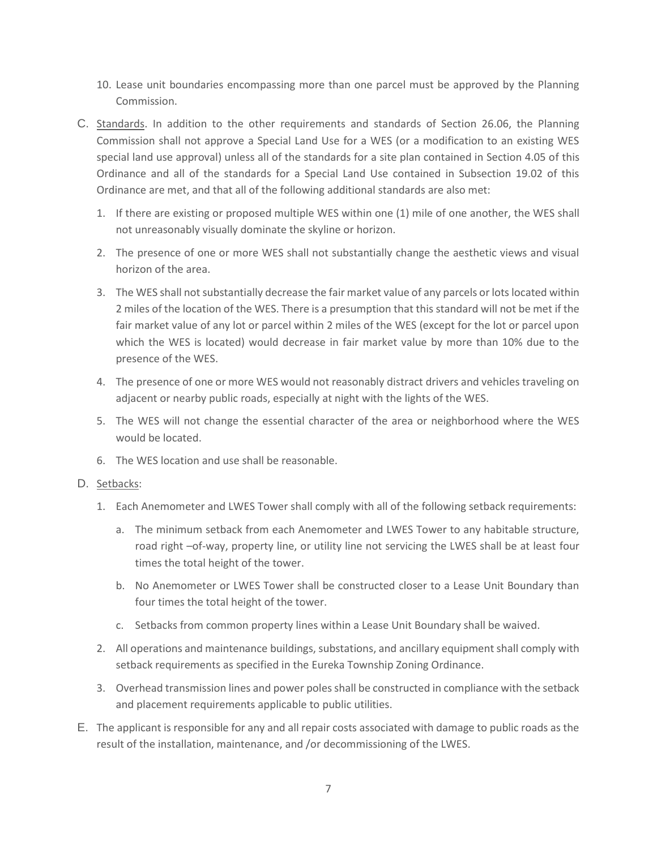- 10. Lease unit boundaries encompassing more than one parcel must be approved by the Planning Commission.
- C. Standards. In addition to the other requirements and standards of Section 26.06, the Planning Commission shall not approve a Special Land Use for a WES (or a modification to an existing WES special land use approval) unless all of the standards for a site plan contained in Section 4.05 of this Ordinance and all of the standards for a Special Land Use contained in Subsection 19.02 of this Ordinance are met, and that all of the following additional standards are also met:
	- 1. If there are existing or proposed multiple WES within one (1) mile of one another, the WES shall not unreasonably visually dominate the skyline or horizon.
	- 2. The presence of one or more WES shall not substantially change the aesthetic views and visual horizon of the area.
	- 3. The WES shall not substantially decrease the fair market value of any parcels or lots located within 2 miles of the location of the WES. There is a presumption that this standard will not be met if the fair market value of any lot or parcel within 2 miles of the WES (except for the lot or parcel upon which the WES is located) would decrease in fair market value by more than 10% due to the presence of the WES.
	- 4. The presence of one or more WES would not reasonably distract drivers and vehicles traveling on adjacent or nearby public roads, especially at night with the lights of the WES.
	- 5. The WES will not change the essential character of the area or neighborhood where the WES would be located.
	- 6. The WES location and use shall be reasonable.
- D. Setbacks:
	- 1. Each Anemometer and LWES Tower shall comply with all of the following setback requirements:
		- a. The minimum setback from each Anemometer and LWES Tower to any habitable structure, road right –of-way, property line, or utility line not servicing the LWES shall be at least four times the total height of the tower.
		- b. No Anemometer or LWES Tower shall be constructed closer to a Lease Unit Boundary than four times the total height of the tower.
		- c. Setbacks from common property lines within a Lease Unit Boundary shall be waived.
	- 2. All operations and maintenance buildings, substations, and ancillary equipment shall comply with setback requirements as specified in the Eureka Township Zoning Ordinance.
	- 3. Overhead transmission lines and power poles shall be constructed in compliance with the setback and placement requirements applicable to public utilities.
- E. The applicant is responsible for any and all repair costs associated with damage to public roads as the result of the installation, maintenance, and /or decommissioning of the LWES.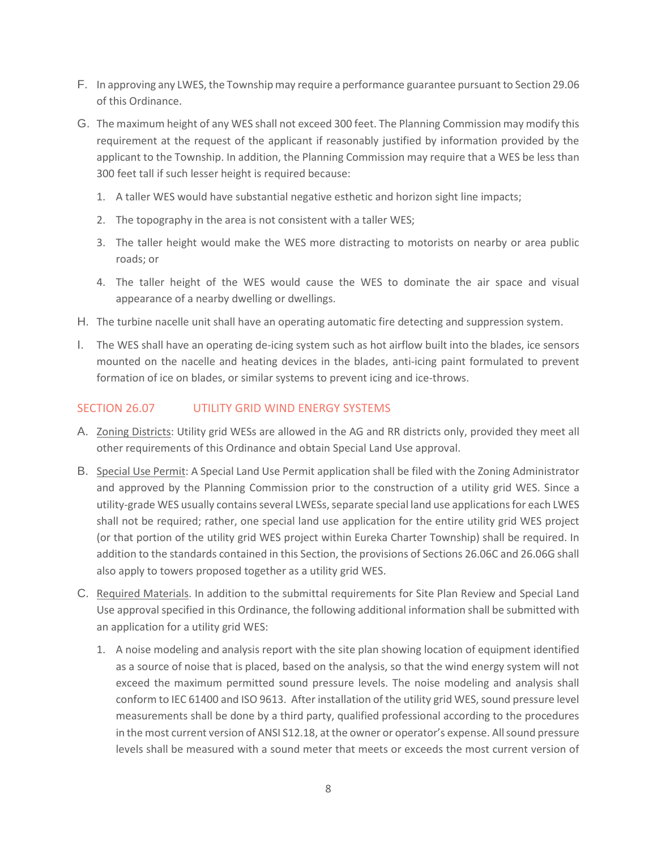- F. In approving any LWES, the Township may require a performance guarantee pursuant to Section 29.06 of this Ordinance.
- G. The maximum height of any WES shall not exceed 300 feet. The Planning Commission may modify this requirement at the request of the applicant if reasonably justified by information provided by the applicant to the Township. In addition, the Planning Commission may require that a WES be less than 300 feet tall if such lesser height is required because:
	- 1. A taller WES would have substantial negative esthetic and horizon sight line impacts;
	- 2. The topography in the area is not consistent with a taller WES;
	- 3. The taller height would make the WES more distracting to motorists on nearby or area public roads; or
	- 4. The taller height of the WES would cause the WES to dominate the air space and visual appearance of a nearby dwelling or dwellings.
- H. The turbine nacelle unit shall have an operating automatic fire detecting and suppression system.
- I. The WES shall have an operating de-icing system such as hot airflow built into the blades, ice sensors mounted on the nacelle and heating devices in the blades, anti-icing paint formulated to prevent formation of ice on blades, or similar systems to prevent icing and ice-throws.

### SECTION 26.07 UTILITY GRID WIND ENERGY SYSTEMS

- A. Zoning Districts: Utility grid WESs are allowed in the AG and RR districts only, provided they meet all other requirements of this Ordinance and obtain Special Land Use approval.
- B. Special Use Permit: A Special Land Use Permit application shall be filed with the Zoning Administrator and approved by the Planning Commission prior to the construction of a utility grid WES. Since a utility-grade WES usually contains several LWESs, separate special land use applications for each LWES shall not be required; rather, one special land use application for the entire utility grid WES project (or that portion of the utility grid WES project within Eureka Charter Township) shall be required. In addition to the standards contained in this Section, the provisions of Sections 26.06C and 26.06G shall also apply to towers proposed together as a utility grid WES.
- C. Required Materials. In addition to the submittal requirements for Site Plan Review and Special Land Use approval specified in this Ordinance, the following additional information shall be submitted with an application for a utility grid WES:
	- 1. A noise modeling and analysis report with the site plan showing location of equipment identified as a source of noise that is placed, based on the analysis, so that the wind energy system will not exceed the maximum permitted sound pressure levels. The noise modeling and analysis shall conform to IEC 61400 and ISO 9613. After installation of the utility grid WES, sound pressure level measurements shall be done by a third party, qualified professional according to the procedures in the most current version of ANSI S12.18, at the owner or operator's expense. All sound pressure levels shall be measured with a sound meter that meets or exceeds the most current version of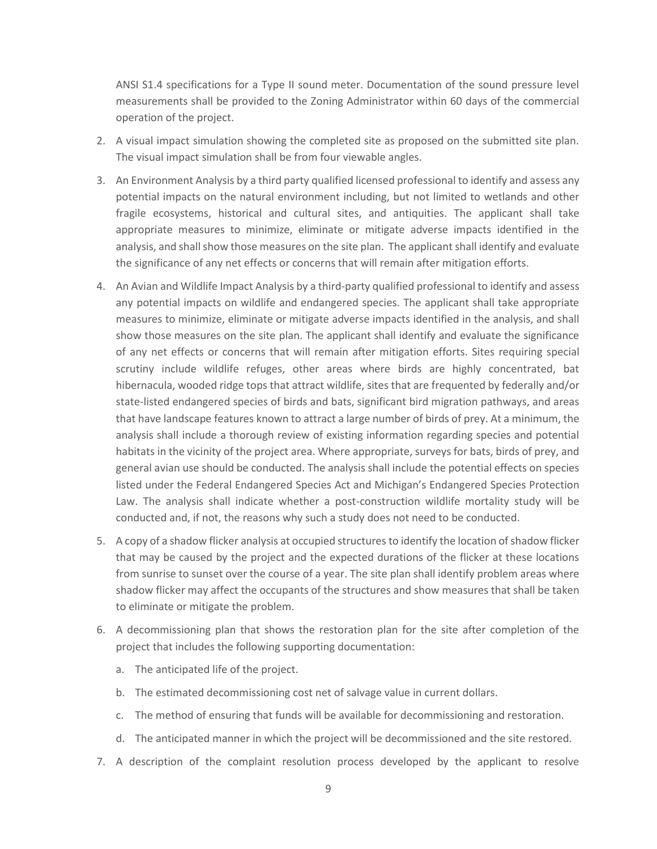ANSI S1.4 specifications for a Type II sound meter. Documentation of the sound pressure level measurements shall be provided to the Zoning Administrator within 60 days of the commercial operation of the project.

- 2. A visual impact simulation showing the completed site as proposed on the submitted site plan. The visual impact simulation shall be from four viewable angles.
- 3. An Environment Analysis by a third party qualified licensed professional to identify and assess any potential impacts on the natural environment including, but not limited to wetlands and other fragile ecosystems, historical and cultural sites, and antiquities. The applicant shall take appropriate measures to minimize, eliminate or mitigate adverse impacts identified in the analysis, and shall show those measures on the site plan. The applicant shall identify and evaluate the significance of any net effects or concerns that will remain after mitigation efforts.
- 4. An Avian and Wildlife Impact Analysis by a third-party qualified professional to identify and assess any potential impacts on wildlife and endangered species. The applicant shall take appropriate measures to minimize, eliminate or mitigate adverse impacts identified in the analysis, and shall show those measures on the site plan. The applicant shall identify and evaluate the significance of any net effects or concerns that will remain after mitigation efforts. Sites requiring special scrutiny include wildlife refuges, other areas where birds are highly concentrated, bat hibernacula, wooded ridge tops that attract wildlife, sites that are frequented by federally and/or state-listed endangered species of birds and bats, significant bird migration pathways, and areas that have landscape features known to attract a large number of birds of prey. At a minimum, the analysis shall include a thorough review of existing information regarding species and potential habitats in the vicinity of the project area. Where appropriate, surveys for bats, birds of prey, and general avian use should be conducted. The analysis shall include the potential effects on species listed under the Federal Endangered Species Act and Michigan's Endangered Species Protection Law. The analysis shall indicate whether a post-construction wildlife mortality study will be conducted and, if not, the reasons why such a study does not need to be conducted.
- 5. A copy of a shadow flicker analysis at occupied structuresto identify the location of shadow flicker that may be caused by the project and the expected durations of the flicker at these locations from sunrise to sunset over the course of a year. The site plan shall identify problem areas where shadow flicker may affect the occupants of the structures and show measures that shall be taken to eliminate or mitigate the problem.
- 6. A decommissioning plan that shows the restoration plan for the site after completion of the project that includes the following supporting documentation:
	- a. The anticipated life of the project.
	- b. The estimated decommissioning cost net of salvage value in current dollars.
	- c. The method of ensuring that funds will be available for decommissioning and restoration.
	- d. The anticipated manner in which the project will be decommissioned and the site restored.
- 7. A description of the complaint resolution process developed by the applicant to resolve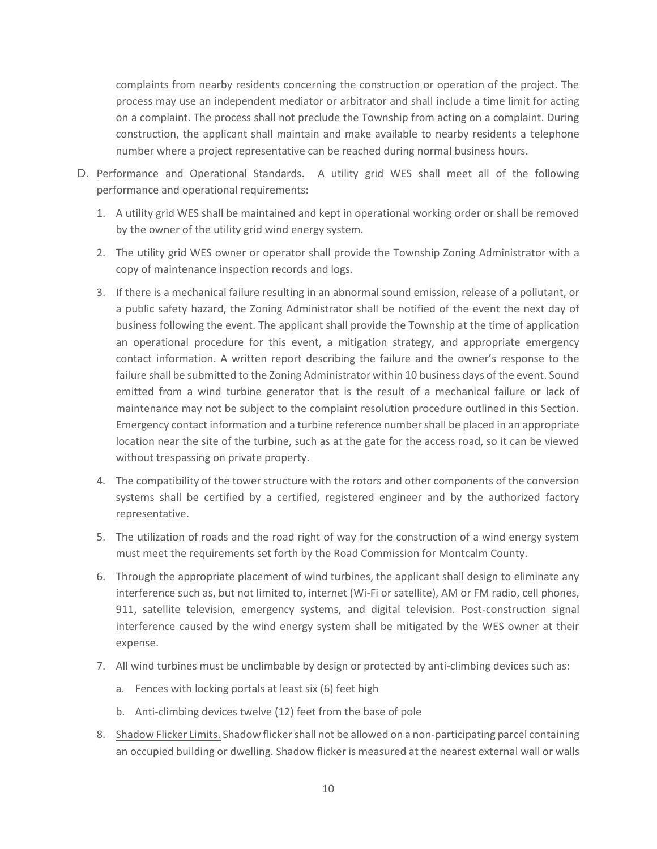complaints from nearby residents concerning the construction or operation of the project. The process may use an independent mediator or arbitrator and shall include a time limit for acting on a complaint. The process shall not preclude the Township from acting on a complaint. During construction, the applicant shall maintain and make available to nearby residents a telephone number where a project representative can be reached during normal business hours.

- D. Performance and Operational Standards. A utility grid WES shall meet all of the following performance and operational requirements:
	- 1. A utility grid WES shall be maintained and kept in operational working order or shall be removed by the owner of the utility grid wind energy system.
	- 2. The utility grid WES owner or operator shall provide the Township Zoning Administrator with a copy of maintenance inspection records and logs.
	- 3. If there is a mechanical failure resulting in an abnormal sound emission, release of a pollutant, or a public safety hazard, the Zoning Administrator shall be notified of the event the next day of business following the event. The applicant shall provide the Township at the time of application an operational procedure for this event, a mitigation strategy, and appropriate emergency contact information. A written report describing the failure and the owner's response to the failure shall be submitted to the Zoning Administrator within 10 business days of the event. Sound emitted from a wind turbine generator that is the result of a mechanical failure or lack of maintenance may not be subject to the complaint resolution procedure outlined in this Section. Emergency contact information and a turbine reference number shall be placed in an appropriate location near the site of the turbine, such as at the gate for the access road, so it can be viewed without trespassing on private property.
	- 4. The compatibility of the tower structure with the rotors and other components of the conversion systems shall be certified by a certified, registered engineer and by the authorized factory representative.
	- 5. The utilization of roads and the road right of way for the construction of a wind energy system must meet the requirements set forth by the Road Commission for Montcalm County.
	- 6. Through the appropriate placement of wind turbines, the applicant shall design to eliminate any interference such as, but not limited to, internet (Wi-Fi or satellite), AM or FM radio, cell phones, 911, satellite television, emergency systems, and digital television. Post-construction signal interference caused by the wind energy system shall be mitigated by the WES owner at their expense.
	- 7. All wind turbines must be unclimbable by design or protected by anti-climbing devices such as:
		- a. Fences with locking portals at least six (6) feet high
		- b. Anti-climbing devices twelve (12) feet from the base of pole
	- 8. Shadow Flicker Limits. Shadow flicker shall not be allowed on a non-participating parcel containing an occupied building or dwelling. Shadow flicker is measured at the nearest external wall or walls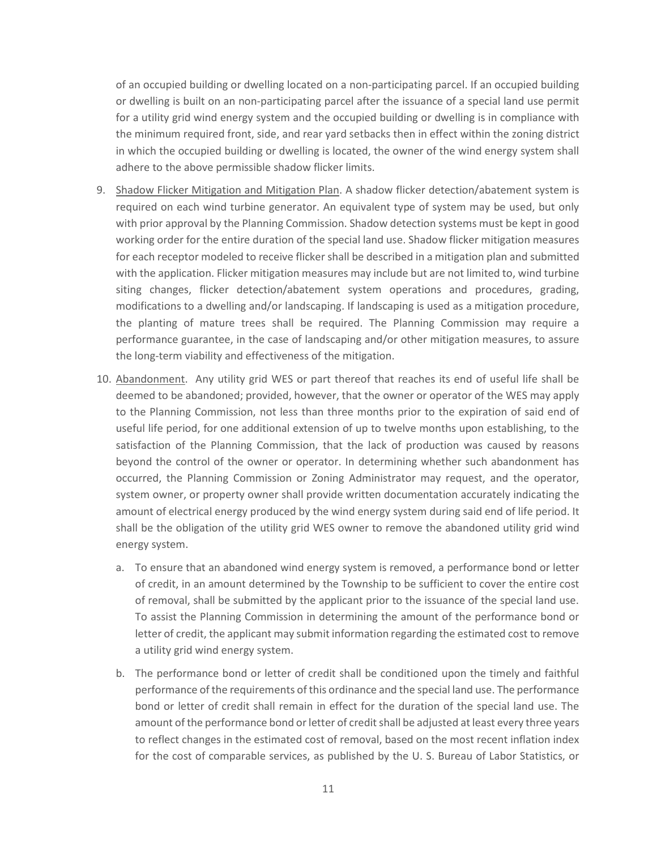of an occupied building or dwelling located on a non-participating parcel. If an occupied building or dwelling is built on an non-participating parcel after the issuance of a special land use permit for a utility grid wind energy system and the occupied building or dwelling is in compliance with the minimum required front, side, and rear yard setbacks then in effect within the zoning district in which the occupied building or dwelling is located, the owner of the wind energy system shall adhere to the above permissible shadow flicker limits.

- 9. Shadow Flicker Mitigation and Mitigation Plan. A shadow flicker detection/abatement system is required on each wind turbine generator. An equivalent type of system may be used, but only with prior approval by the Planning Commission. Shadow detection systems must be kept in good working order for the entire duration of the special land use. Shadow flicker mitigation measures for each receptor modeled to receive flicker shall be described in a mitigation plan and submitted with the application. Flicker mitigation measures may include but are not limited to, wind turbine siting changes, flicker detection/abatement system operations and procedures, grading, modifications to a dwelling and/or landscaping. If landscaping is used as a mitigation procedure, the planting of mature trees shall be required. The Planning Commission may require a performance guarantee, in the case of landscaping and/or other mitigation measures, to assure the long-term viability and effectiveness of the mitigation.
- 10. Abandonment. Any utility grid WES or part thereof that reaches its end of useful life shall be deemed to be abandoned; provided, however, that the owner or operator of the WES may apply to the Planning Commission, not less than three months prior to the expiration of said end of useful life period, for one additional extension of up to twelve months upon establishing, to the satisfaction of the Planning Commission, that the lack of production was caused by reasons beyond the control of the owner or operator. In determining whether such abandonment has occurred, the Planning Commission or Zoning Administrator may request, and the operator, system owner, or property owner shall provide written documentation accurately indicating the amount of electrical energy produced by the wind energy system during said end of life period. It shall be the obligation of the utility grid WES owner to remove the abandoned utility grid wind energy system.
	- a. To ensure that an abandoned wind energy system is removed, a performance bond or letter of credit, in an amount determined by the Township to be sufficient to cover the entire cost of removal, shall be submitted by the applicant prior to the issuance of the special land use. To assist the Planning Commission in determining the amount of the performance bond or letter of credit, the applicant may submit information regarding the estimated cost to remove a utility grid wind energy system.
	- b. The performance bond or letter of credit shall be conditioned upon the timely and faithful performance of the requirements of this ordinance and the special land use. The performance bond or letter of credit shall remain in effect for the duration of the special land use. The amount of the performance bond or letter of credit shall be adjusted at least every three years to reflect changes in the estimated cost of removal, based on the most recent inflation index for the cost of comparable services, as published by the U. S. Bureau of Labor Statistics, or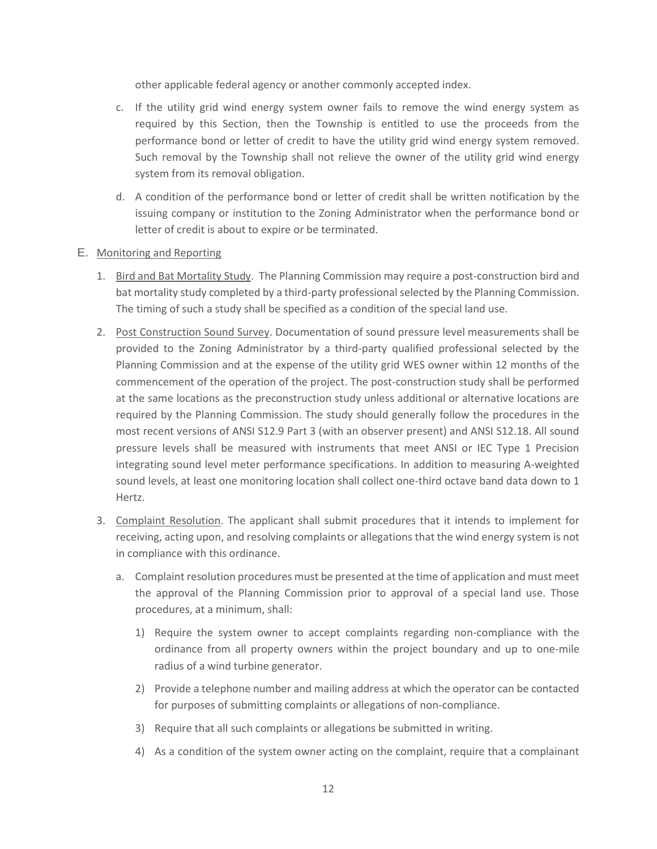other applicable federal agency or another commonly accepted index.

- c. If the utility grid wind energy system owner fails to remove the wind energy system as required by this Section, then the Township is entitled to use the proceeds from the performance bond or letter of credit to have the utility grid wind energy system removed. Such removal by the Township shall not relieve the owner of the utility grid wind energy system from its removal obligation.
- d. A condition of the performance bond or letter of credit shall be written notification by the issuing company or institution to the Zoning Administrator when the performance bond or letter of credit is about to expire or be terminated.

### E. Monitoring and Reporting

- 1. Bird and Bat Mortality Study. The Planning Commission may require a post-construction bird and bat mortality study completed by a third-party professional selected by the Planning Commission. The timing of such a study shall be specified as a condition of the special land use.
- 2. Post Construction Sound Survey. Documentation of sound pressure level measurements shall be provided to the Zoning Administrator by a third-party qualified professional selected by the Planning Commission and at the expense of the utility grid WES owner within 12 months of the commencement of the operation of the project. The post-construction study shall be performed at the same locations as the preconstruction study unless additional or alternative locations are required by the Planning Commission. The study should generally follow the procedures in the most recent versions of ANSI S12.9 Part 3 (with an observer present) and ANSI S12.18. All sound pressure levels shall be measured with instruments that meet ANSI or IEC Type 1 Precision integrating sound level meter performance specifications. In addition to measuring A-weighted sound levels, at least one monitoring location shall collect one-third octave band data down to 1 Hertz.
- 3. Complaint Resolution. The applicant shall submit procedures that it intends to implement for receiving, acting upon, and resolving complaints or allegations that the wind energy system is not in compliance with this ordinance.
	- a. Complaint resolution procedures must be presented at the time of application and must meet the approval of the Planning Commission prior to approval of a special land use. Those procedures, at a minimum, shall:
		- 1) Require the system owner to accept complaints regarding non-compliance with the ordinance from all property owners within the project boundary and up to one-mile radius of a wind turbine generator.
		- 2) Provide a telephone number and mailing address at which the operator can be contacted for purposes of submitting complaints or allegations of non-compliance.
		- 3) Require that all such complaints or allegations be submitted in writing.
		- 4) As a condition of the system owner acting on the complaint, require that a complainant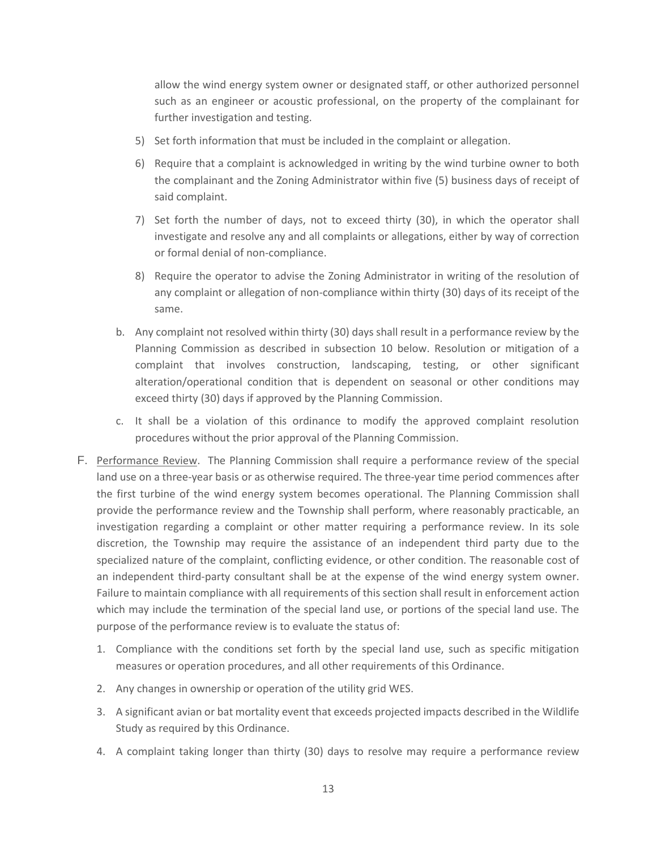allow the wind energy system owner or designated staff, or other authorized personnel such as an engineer or acoustic professional, on the property of the complainant for further investigation and testing.

- 5) Set forth information that must be included in the complaint or allegation.
- 6) Require that a complaint is acknowledged in writing by the wind turbine owner to both the complainant and the Zoning Administrator within five (5) business days of receipt of said complaint.
- 7) Set forth the number of days, not to exceed thirty (30), in which the operator shall investigate and resolve any and all complaints or allegations, either by way of correction or formal denial of non-compliance.
- 8) Require the operator to advise the Zoning Administrator in writing of the resolution of any complaint or allegation of non-compliance within thirty (30) days of its receipt of the same.
- b. Any complaint not resolved within thirty (30) days shall result in a performance review by the Planning Commission as described in subsection 10 below. Resolution or mitigation of a complaint that involves construction, landscaping, testing, or other significant alteration/operational condition that is dependent on seasonal or other conditions may exceed thirty (30) days if approved by the Planning Commission.
- c. It shall be a violation of this ordinance to modify the approved complaint resolution procedures without the prior approval of the Planning Commission.
- F. Performance Review. The Planning Commission shall require a performance review of the special land use on a three-year basis or as otherwise required. The three-year time period commences after the first turbine of the wind energy system becomes operational. The Planning Commission shall provide the performance review and the Township shall perform, where reasonably practicable, an investigation regarding a complaint or other matter requiring a performance review. In its sole discretion, the Township may require the assistance of an independent third party due to the specialized nature of the complaint, conflicting evidence, or other condition. The reasonable cost of an independent third-party consultant shall be at the expense of the wind energy system owner. Failure to maintain compliance with all requirements of this section shall result in enforcement action which may include the termination of the special land use, or portions of the special land use. The purpose of the performance review is to evaluate the status of:
	- 1. Compliance with the conditions set forth by the special land use, such as specific mitigation measures or operation procedures, and all other requirements of this Ordinance.
	- 2. Any changes in ownership or operation of the utility grid WES.
	- 3. A significant avian or bat mortality event that exceeds projected impacts described in the Wildlife Study as required by this Ordinance.
	- 4. A complaint taking longer than thirty (30) days to resolve may require a performance review